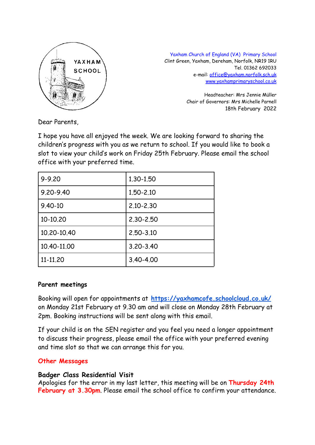

Yaxham Church of England (VA) Primary School Clint Green, Yaxham, Dereham, Norfolk, NR19 1RU Tel. 01362 692033 e-mail: [office@yaxham.norfolk.sch.uk](mailto:office@yaxham.norfolk.sch.uk) [www.yaxhamprimaryschool.co.uk](http://www.yaxhamprimaryschool.co.uk)

> Headteacher: Mrs Jennie Müller Chair of Governors: Mrs Michelle Parnell 18th February 2022

Dear Parents,

I hope you have all enjoyed the week. We are looking forward to sharing the children's progress with you as we return to school. If you would like to book a slot to view your child's work on Friday 25th February. Please email the school office with your preferred time.

| $9 - 9.20$  | 1.30-1.50     |
|-------------|---------------|
| 9.20-9.40   | 1.50-2.10     |
| $9.40 - 10$ | $2.10 - 2.30$ |
| 10-10.20    | $2,30 - 2,50$ |
| 10.20-10.40 | $2,50 - 3,10$ |
| 10.40-11.00 | $3,20 - 3,40$ |
| 11-11.20    | $3.40 - 4.00$ |

#### **Parent meetings**

Booking will open for appointments at **<https://yaxhamcofe.schoolcloud.co.uk/>** on Monday 21st February at 9.30 am and will close on Monday 28th February at 2pm. Booking instructions will be sent along with this email.

If your child is on the SEN register and you feel you need a longer appointment to discuss their progress, please email the office with your preferred evening and time slot so that we can arrange this for you.

#### **Other Messages**

#### **Badger Class Residential Visit**

Apologies for the error in my last letter, this meeting will be on **Thursday 24th February at 3.30pm**. Please email the school office to confirm your attendance.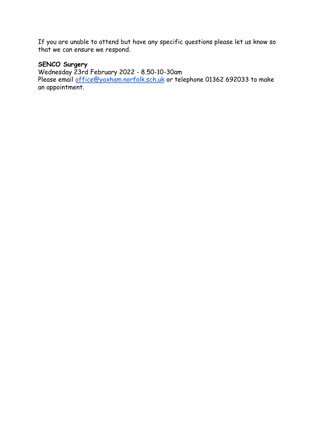If you are unable to attend but have any specific questions please let us know so that we can ensure we respond.

### **SENCO Surgery**

Wednesday 23rd February 2022 - 8.50-10-30am Please email <u>[office@yaxham.norfolk.sch.uk](mailto:office@yaxham.norfolk.sch.uk)</u> or telephone 01362 692033 to make an appointment.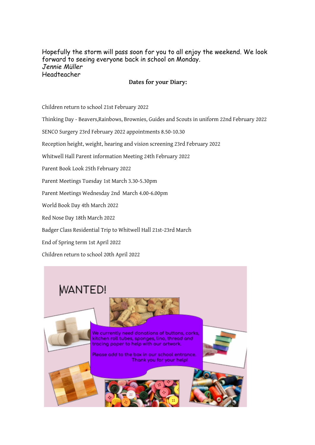Hopefully the storm will pass soon for you to all enjoy the weekend. We look forward to seeing everyone back in school on Monday. *Jennie Müller* Headteacher

#### **Dates for your Diary:**

Children return to school 21st February 2022

- Thinking Day Beavers,Rainbows, Brownies, Guides and Scouts in uniform 22nd February 2022
- SENCO Surgery 23rd February 2022 appointments 8.50-10.30
- Reception height, weight, hearing and vision screening 23rd February 2022
- Whitwell Hall Parent information Meeting 24th February 2022
- Parent Book Look 25th February 2022
- Parent Meetings Tuesday 1st March 3.30-5.30pm
- Parent Meetings Wednesday 2nd March 4.00-6.00pm
- World Book Day 4th March 2022
- Red Nose Day 18th March 2022
- Badger Class Residential Trip to Whitwell Hall 21st-23rd March
- End of Spring term 1st April 2022
- Children return to school 20th April 2022

## **WANTED!**



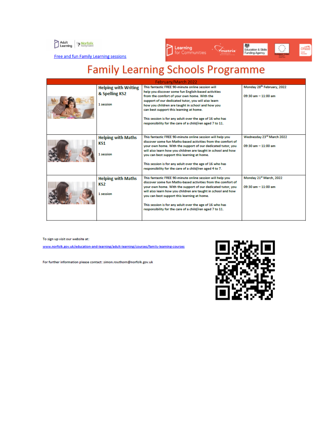



Free and fun Family Learning sessions

# **Family Learning Schools Programme**

| February/March 2022 |                                                            |                                                                                                                                                                                                                                                                                                                                                                                                                                        |                                                                     |  |
|---------------------|------------------------------------------------------------|----------------------------------------------------------------------------------------------------------------------------------------------------------------------------------------------------------------------------------------------------------------------------------------------------------------------------------------------------------------------------------------------------------------------------------------|---------------------------------------------------------------------|--|
|                     | <b>Helping with Writing</b><br>& Spelling KS2<br>1 session | This fantastic FREE 90-minute online session will<br>help you discover some fun English-based activities<br>from the comfort of your own home. With the<br>support of our dedicated tutor, you will also learn<br>how you children are taught in school and how you<br>can best support this learning at home.<br>This session is for any adult over the age of 16 who has<br>responsibility for the care of a child/ren aged 7 to 11. | Monday 28th February, 2022<br>$09:30 \text{ am} - 11:00 \text{ am}$ |  |
|                     | <b>Helping with Maths</b><br>KS1<br>1 session              | This fantastic FREE 90-minute online session will help you<br>discover some fun Maths-based activities from the comfort of<br>your own home. With the support of our dedicated tutor, you<br>will also learn how you children are taught in school and how<br>you can best support this learning at home.<br>This session is for any adult over the age of 16 who has<br>responsibility for the care of a child/ren aged 4 to 7.       | Wednesday 23rd March 2022<br>$09:30$ am $-11:00$ am                 |  |
|                     | <b>Helping with Maths</b><br>KS2<br>1 session              | This fantastic FREE 90-minute online session will help you<br>discover some fun Maths-based activities from the comfort of<br>your own home. With the support of our dedicated tutor, you<br>will also learn how you children are taught in school and how<br>you can best support this learning at home.<br>This session is for any adult over the age of 16 who has<br>responsibility for the care of a child/ren aged 7 to 11.      | Monday 21st March, 2022<br>$09:30$ am $-11:00$ am                   |  |

To sign up visit our website at:

www.norfolk.gov.uk/education-and-learning/adult-learning/courses/family-learning-courses

For further information please contact: simon.routhorn@norfolk.gov.uk